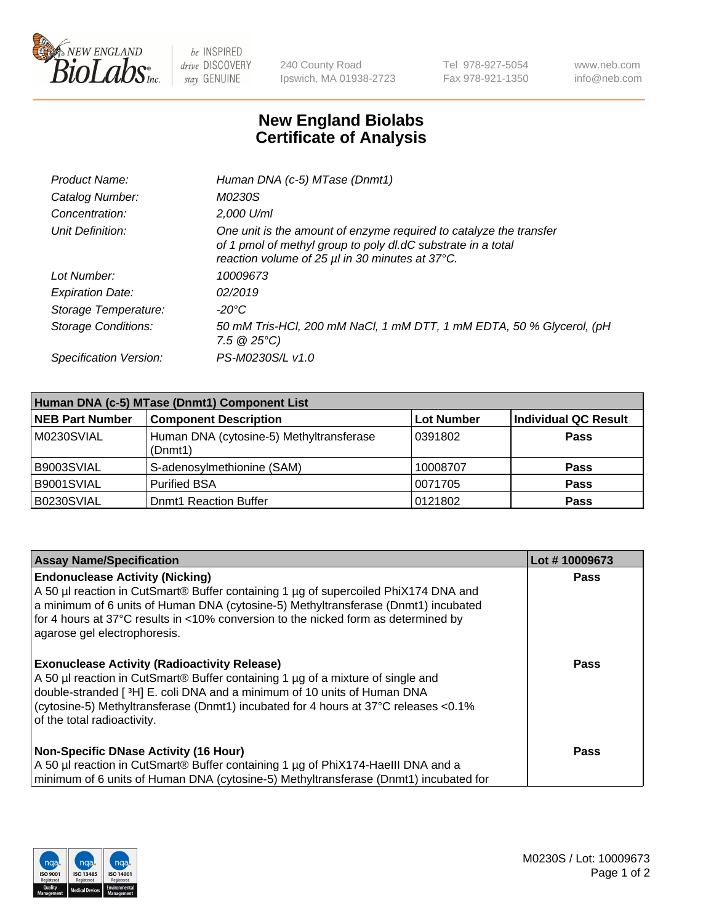

 $be$  INSPIRED drive DISCOVERY stay GENUINE

240 County Road Ipswich, MA 01938-2723 Tel 978-927-5054 Fax 978-921-1350 www.neb.com info@neb.com

## **New England Biolabs Certificate of Analysis**

| Product Name:              | Human DNA (c-5) MTase (Dnmt1)                                                                                                                                                         |
|----------------------------|---------------------------------------------------------------------------------------------------------------------------------------------------------------------------------------|
| Catalog Number:            | M0230S                                                                                                                                                                                |
| Concentration:             | 2,000 U/ml                                                                                                                                                                            |
| Unit Definition:           | One unit is the amount of enzyme required to catalyze the transfer<br>of 1 pmol of methyl group to poly dl.dC substrate in a total<br>reaction volume of 25 µl in 30 minutes at 37°C. |
| Lot Number:                | 10009673                                                                                                                                                                              |
| <b>Expiration Date:</b>    | 02/2019                                                                                                                                                                               |
| Storage Temperature:       | -20°C                                                                                                                                                                                 |
| <b>Storage Conditions:</b> | 50 mM Tris-HCl, 200 mM NaCl, 1 mM DTT, 1 mM EDTA, 50 % Glycerol, (pH<br>$7.5 \ @ 25^{\circ}C$                                                                                         |
| Specification Version:     | PS-M0230S/L v1.0                                                                                                                                                                      |

| Human DNA (c-5) MTase (Dnmt1) Component List |                                                     |                   |                      |  |
|----------------------------------------------|-----------------------------------------------------|-------------------|----------------------|--|
| <b>NEB Part Number</b>                       | <b>Component Description</b>                        | <b>Lot Number</b> | Individual QC Result |  |
| M0230SVIAL                                   | Human DNA (cytosine-5) Methyltransferase<br>(Dnmt1) | 10391802          | <b>Pass</b>          |  |
| B9003SVIAL                                   | S-adenosylmethionine (SAM)                          | 10008707          | <b>Pass</b>          |  |
| B9001SVIAL                                   | <b>Purified BSA</b>                                 | 0071705           | <b>Pass</b>          |  |
| B0230SVIAL                                   | <b>Dnmt1 Reaction Buffer</b>                        | 0121802           | <b>Pass</b>          |  |

| <b>Assay Name/Specification</b>                                                                                                                                                                                                                                                                                                           | Lot #10009673 |
|-------------------------------------------------------------------------------------------------------------------------------------------------------------------------------------------------------------------------------------------------------------------------------------------------------------------------------------------|---------------|
| <b>Endonuclease Activity (Nicking)</b><br>A 50 µl reaction in CutSmart® Buffer containing 1 µg of supercoiled PhiX174 DNA and<br>a minimum of 6 units of Human DNA (cytosine-5) Methyltransferase (Dnmt1) incubated<br>for 4 hours at 37°C results in <10% conversion to the nicked form as determined by<br>agarose gel electrophoresis. | Pass          |
| <b>Exonuclease Activity (Radioactivity Release)</b><br>A 50 µl reaction in CutSmart® Buffer containing 1 µg of a mixture of single and<br>double-stranded [3H] E. coli DNA and a minimum of 10 units of Human DNA<br>(cytosine-5) Methyltransferase (Dnmt1) incubated for 4 hours at 37°C releases <0.1%<br>of the total radioactivity.   | <b>Pass</b>   |
| <b>Non-Specific DNase Activity (16 Hour)</b><br>A 50 µl reaction in CutSmart® Buffer containing 1 µg of PhiX174-HaellI DNA and a<br>minimum of 6 units of Human DNA (cytosine-5) Methyltransferase (Dnmt1) incubated for                                                                                                                  | <b>Pass</b>   |